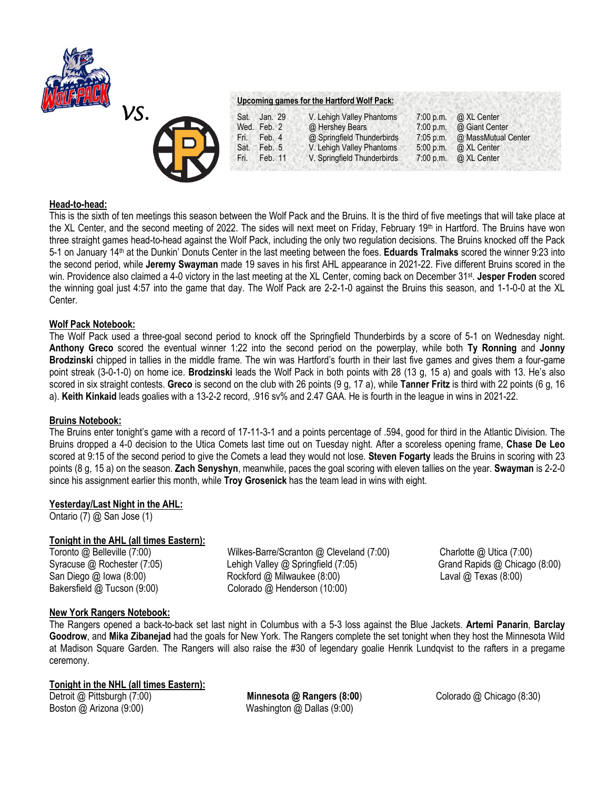



### **Upcoming games for the Hartford Wolf Pack:**

| Sat. Jan. 29    | V. Lehigh Valley Phantoms   | 7:00 p.m.   | @ XL Center         |
|-----------------|-----------------------------|-------------|---------------------|
| Wed. Feb. 2     | @ Hershey Bears             | 7:00 p.m.   | @ Giant Center      |
| Feb. 4<br>Fri.  | @ Springfield Thunderbirds  | $7:05$ p.m. | @ MassMutual Center |
| Feb. 5<br>Sat.  | V. Lehigh Valley Phantoms   | 5:00 p.m.   | @ XL Center         |
| Feb. 11<br>Fri. | V. Springfield Thunderbirds | $7:00$ p.m. | @ XL Center         |

### **Head-to-head:**

This is the sixth of ten meetings this season between the Wolf Pack and the Bruins. It is the third of five meetings that will take place at the XL Center, and the second meeting of 2022. The sides will next meet on Friday, February 19th in Hartford. The Bruins have won three straight games head-to-head against the Wolf Pack, including the only two regulation decisions. The Bruins knocked off the Pack 5-1 on January 14th at the Dunkin' Donuts Center in the last meeting between the foes. **Eduards Tralmaks** scored the winner 9:23 into the second period, while **Jeremy Swayman** made 19 saves in his first AHL appearance in 2021-22. Five different Bruins scored in the win. Providence also claimed a 4-0 victory in the last meeting at the XL Center, coming back on December 31st . **Jesper Froden** scored the winning goal just 4:57 into the game that day. The Wolf Pack are 2-2-1-0 against the Bruins this season, and 1-1-0-0 at the XL Center.

#### **Wolf Pack Notebook:**

The Wolf Pack used a three-goal second period to knock off the Springfield Thunderbirds by a score of 5-1 on Wednesday night. **Anthony Greco** scored the eventual winner 1:22 into the second period on the powerplay, while both **Ty Ronning** and **Jonny Brodzinski** chipped in tallies in the middle frame. The win was Hartford's fourth in their last five games and gives them a four-game point streak (3-0-1-0) on home ice. **Brodzinski** leads the Wolf Pack in both points with 28 (13 g, 15 a) and goals with 13. He's also scored in six straight contests. **Greco** is second on the club with 26 points (9 g, 17 a), while **Tanner Fritz** is third with 22 points (6 g, 16 a). **Keith Kinkaid** leads goalies with a 13-2-2 record, .916 sv% and 2.47 GAA. He is fourth in the league in wins in 2021-22.

#### **Bruins Notebook:**

The Bruins enter tonight's game with a record of 17-11-3-1 and a points percentage of .594, good for third in the Atlantic Division. The Bruins dropped a 4-0 decision to the Utica Comets last time out on Tuesday night. After a scoreless opening frame, **Chase De Leo**  scored at 9:15 of the second period to give the Comets a lead they would not lose. **Steven Fogarty** leads the Bruins in scoring with 23 points (8 g, 15 a) on the season. **Zach Senyshyn**, meanwhile, paces the goal scoring with eleven tallies on the year. **Swayman** is 2-2-0 since his assignment earlier this month, while **Troy Grosenick** has the team lead in wins with eight.

# **Yesterday/Last Night in the AHL:**

Ontario (7) @ San Jose (1)

# **Tonight in the AHL (all times Eastern):**

Toronto @ Belleville (7:00) Wilkes-Barre/Scranton @ Cleveland (7:00) Charlotte @ Utica (7:00) Syracuse @ Rochester (7:05) Lehigh Valley @ Springfield (7:05) Grand Rapids @ Chicago (8:00) San Diego @ Iowa (8:00) Rockford @ Milwaukee (8:00) Laval @ Texas (8:00) Bakersfield @ Tucson (9:00) Colorado @ Henderson (10:00)

# **New York Rangers Notebook:**

The Rangers opened a back-to-back set last night in Columbus with a 5-3 loss against the Blue Jackets. **Artemi Panarin**, **Barclay Goodrow**, and **Mika Zibanejad** had the goals for New York. The Rangers complete the set tonight when they host the Minnesota Wild at Madison Square Garden. The Rangers will also raise the #30 of legendary goalie Henrik Lundqvist to the rafters in a pregame ceremony.

# **Tonight in the NHL (all times Eastern):**

Boston @ Arizona (9:00) Washington @ Dallas (9:00)

Detroit @ Pittsburgh (7:00) **Minnesota @ Rangers (8:00**) Colorado @ Chicago (8:30)